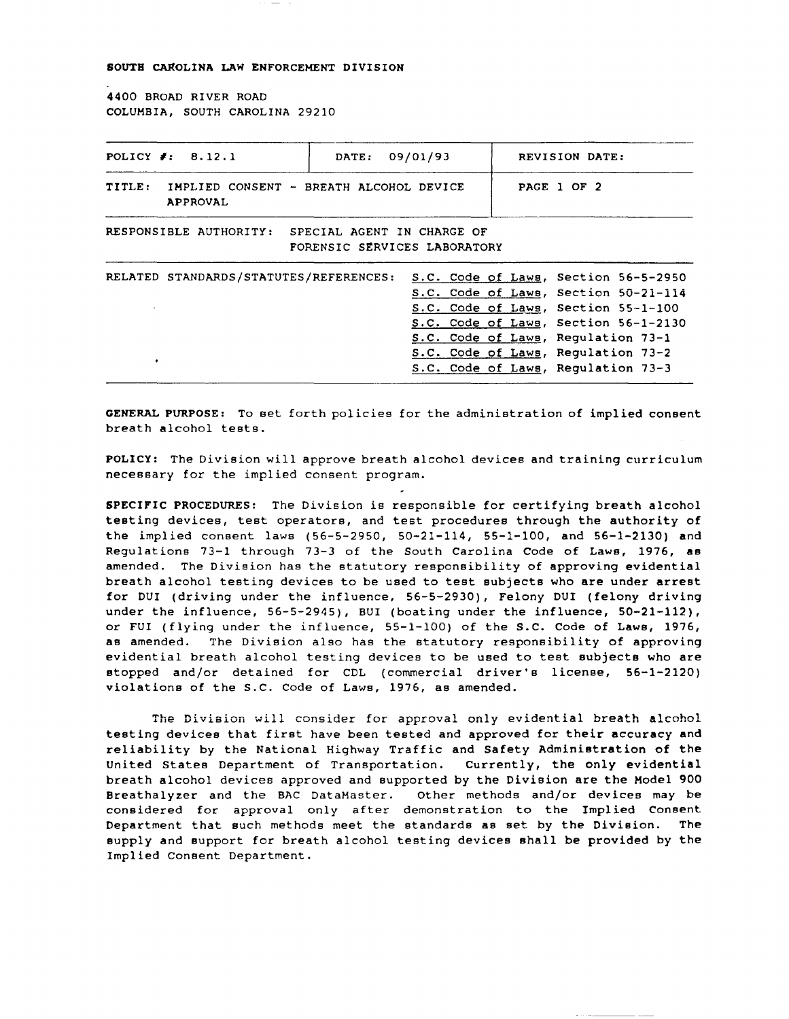SOUTH CAROLINA LAW ENFORCEMENT DIVISION

4400 BROAD RIVER ROAD COLUMBIA, SOUTH CAROLINA 29210

| POLICY $\neq$ : 8.12.1                                                            | DATE: 09/01/93 |  | REVISION DATE:                                                                                                                                                                                                                                                                |
|-----------------------------------------------------------------------------------|----------------|--|-------------------------------------------------------------------------------------------------------------------------------------------------------------------------------------------------------------------------------------------------------------------------------|
| TITLE:<br>IMPLIED CONSENT - BREATH ALCOHOL DEVICE<br><b>APPROVAL</b>              |                |  | PAGE 1 OF 2                                                                                                                                                                                                                                                                   |
| RESPONSIBLE AUTHORITY: SPECIAL AGENT IN CHARGE OF<br>FORENSIC SERVICES LABORATORY |                |  |                                                                                                                                                                                                                                                                               |
| RELATED STANDARDS/STATUTES/REFERENCES:                                            |                |  | S.C. Code of Laws, Section 56-5-2950<br>S.C. Code of Laws, Section 50-21-114<br>S.C. Code of Laws, Section 55-1-100<br>S.C. Code of Laws, Section 56-1-2130<br>S.C. Code of Laws, Requlation 73-1<br>S.C. Code of Laws, Regulation 73-2<br>S.C. Code of Laws, Regulation 73-3 |

GENERAL PURPOSE: To set forth policies for the administration of implied consent breath alcohol tests.

POLICY: The Division will approve breath alcohol devices and training curriculum necessary for the implied consent program.

SPECIFIC PROCEDURES: The Division is responsible for certifying breath alcohol testing devices, test operators, and test procedures through the authority of the implied consent laws (56-5-2950, 50-21-114, 55-1-100, and 56-1-2130) and Regulations 73-1 through 73-3 of the South Carolina Code of Laws, 1976, as amended. The Division has the statutory responsibility of approving evidential breath alcohol testing devices to be used to test subjects who are under arrest for DUI (driving under the influence, 56-5-2930), Felony DUI (felony driving under the influence, 56-5-2945), BUI (boating under the influence, 50-21-112), or FUI (flying under the influence, 55-1-100) of the s.C. Code of Laws, 1976, as amended. The Division also has the statutory responsibility of approving evidential breath alcohol testing devices to be used to test subjects who are stopped and/or detained for CDL (commercial driver's license, 56-1-2120) violations of the S.C. Code of Laws, 1976, as amended.

**The Division will consider for approval only evidential breath alcohol**  testing devices that first have been tested and approved for their accuracy and reliability by the National Highway Traffic and Safety Administration of the United States Department of Transportation. Currently, the only evidential breath alcohol devices approved and supported by the Division are the Model 900 Breathalyzer and the BAC DataMaster. Other methods and/or devices may be considered for approval only after demonstration to the Implied Consent Department that such methods meet the standards as set by the Division. The supply and support for breath alcohol testing devices shall be provided by the Implied Consent Department.